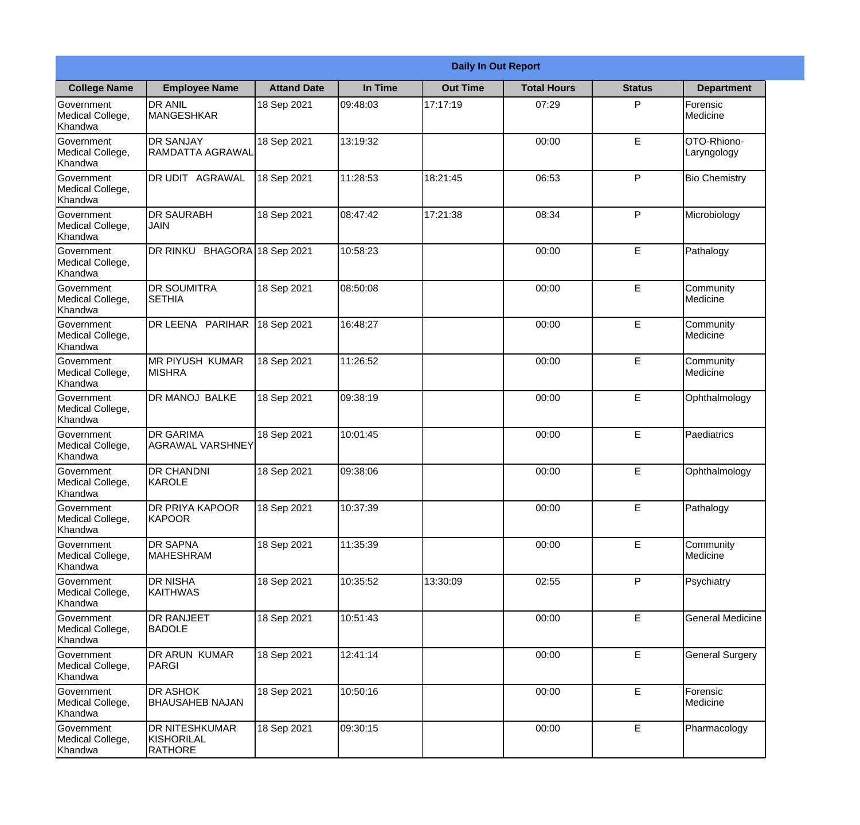|                                                  | <b>Daily In Out Report</b>                     |                    |          |                 |                    |               |                            |  |  |
|--------------------------------------------------|------------------------------------------------|--------------------|----------|-----------------|--------------------|---------------|----------------------------|--|--|
| <b>College Name</b>                              | <b>Employee Name</b>                           | <b>Attand Date</b> | In Time  | <b>Out Time</b> | <b>Total Hours</b> | <b>Status</b> | <b>Department</b>          |  |  |
| Government<br>Medical College,<br>Khandwa        | <b>DR ANIL</b><br><b>MANGESHKAR</b>            | 18 Sep 2021        | 09:48:03 | 17:17:19        | 07:29              | P             | Forensic<br>Medicine       |  |  |
| Government<br>Medical College,<br>Khandwa        | <b>DR SANJAY</b><br><b>RAMDATTA AGRAWAL</b>    | 18 Sep 2021        | 13:19:32 |                 | 00:00              | E             | OTO-Rhiono-<br>Laryngology |  |  |
| <b>Government</b><br>Medical College,<br>Khandwa | <b>DR UDIT AGRAWAL</b>                         | 18 Sep 2021        | 11:28:53 | 18:21:45        | 06:53              | P             | <b>Bio Chemistry</b>       |  |  |
| Government<br>Medical College,<br>Khandwa        | <b>DR SAURABH</b><br><b>JAIN</b>               | 18 Sep 2021        | 08:47:42 | 17:21:38        | 08:34              | P             | Microbiology               |  |  |
| Government<br>Medical College,<br>Khandwa        | DR RINKU BHAGORA 18 Sep 2021                   |                    | 10:58:23 |                 | 00:00              | E             | Pathalogy                  |  |  |
| Government<br>Medical College,<br>Khandwa        | <b>DR SOUMITRA</b><br><b>SETHIA</b>            | 18 Sep 2021        | 08:50:08 |                 | 00:00              | E             | Community<br>Medicine      |  |  |
| Government<br>Medical College,<br>Khandwa        | DR LEENA PARIHAR                               | 18 Sep 2021        | 16:48:27 |                 | 00:00              | E             | Community<br>Medicine      |  |  |
| Government<br>Medical College,<br>Khandwa        | <b>MR PIYUSH KUMAR</b><br><b>MISHRA</b>        | 18 Sep 2021        | 11:26:52 |                 | 00:00              | E             | Community<br>Medicine      |  |  |
| Government<br>Medical College,<br>Khandwa        | <b>DR MANOJ BALKE</b>                          | 18 Sep 2021        | 09:38:19 |                 | 00:00              | E             | Ophthalmology              |  |  |
| Government<br>Medical College,<br>Khandwa        | <b>DR GARIMA</b><br><b>AGRAWAL VARSHNEY</b>    | 18 Sep 2021        | 10:01:45 |                 | 00:00              | E             | Paediatrics                |  |  |
| Government<br>Medical College,<br>Khandwa        | <b>DR CHANDNI</b><br>KAROLE                    | 18 Sep 2021        | 09:38:06 |                 | 00:00              | E             | Ophthalmology              |  |  |
| Government<br>Medical College,<br>Khandwa        | <b>DR PRIYA KAPOOR</b><br>KAPOOR               | 18 Sep 2021        | 10:37:39 |                 | 00:00              | E             | Pathalogy                  |  |  |
| Government<br>Medical College,<br>Khandwa        | <b>DR SAPNA</b><br><b>MAHESHRAM</b>            | 18 Sep 2021        | 11:35:39 |                 | 00:00              | E             | Community<br>Medicine      |  |  |
| Government<br>Medical College,<br>Khandwa        | <b>DR NISHA</b><br><b>KAITHWAS</b>             | 18 Sep 2021        | 10:35:52 | 13:30:09        | 02:55              | P             | Psychiatry                 |  |  |
| <b>Government</b><br>Medical College,<br>Khandwa | <b>DR RANJEET</b><br><b>BADOLE</b>             | 18 Sep 2021        | 10:51:43 |                 | 00:00              | E             | <b>General Medicine</b>    |  |  |
| Government<br>Medical College,<br>Khandwa        | DR ARUN KUMAR<br><b>PARGI</b>                  | 18 Sep 2021        | 12:41:14 |                 | 00:00              | E             | <b>General Surgery</b>     |  |  |
| Government<br>Medical College,<br>Khandwa        | <b>DR ASHOK</b><br><b>BHAUSAHEB NAJAN</b>      | 18 Sep 2021        | 10:50:16 |                 | 00:00              | E             | Forensic<br>Medicine       |  |  |
| Government<br>Medical College,<br>Khandwa        | DR NITESHKUMAR<br>KISHORILAL<br><b>RATHORE</b> | 18 Sep 2021        | 09:30:15 |                 | 00:00              | E             | Pharmacology               |  |  |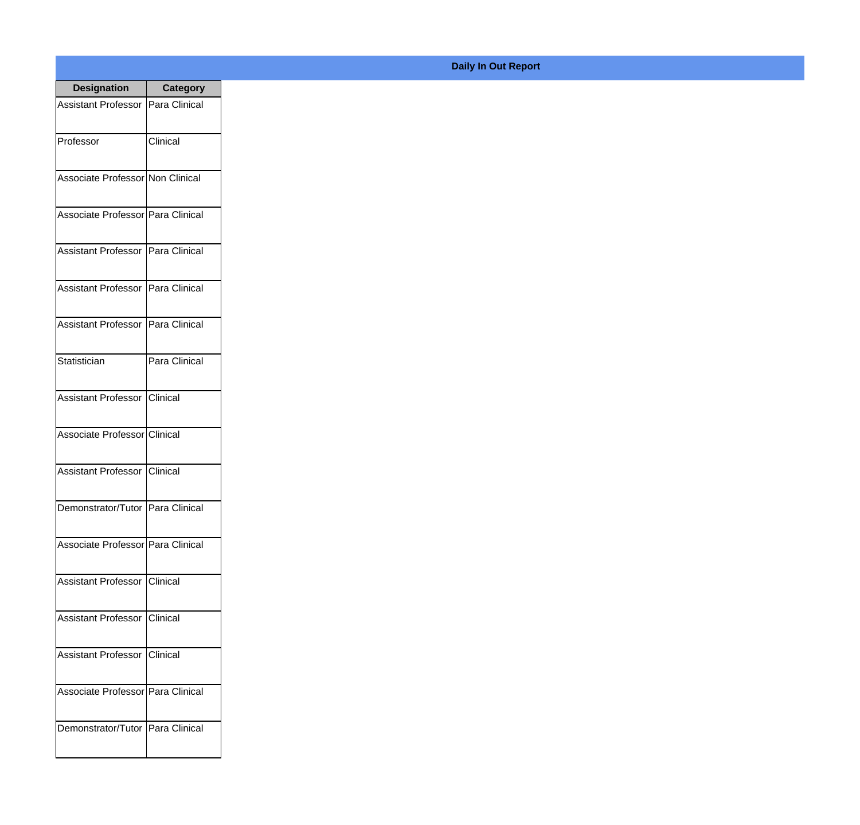| <b>Designation</b>                  | <b>Category</b> |
|-------------------------------------|-----------------|
| Assistant Professor   Para Clinical |                 |
| Professor                           | Clinical        |
| Associate Professor Non Clinical    |                 |
| Associate Professor Para Clinical   |                 |
| Assistant Professor   Para Clinical |                 |
| Assistant Professor   Para Clinical |                 |
| Assistant Professor   Para Clinical |                 |
| Statistician                        | Para Clinical   |
| Assistant Professor   Clinical      |                 |
| Associate Professor Clinical        |                 |
| Assistant Professor                 | IClinical       |
| Demonstrator/Tutor   Para Clinical  |                 |
| Associate Professor   Para Clinical |                 |
| Assistant Professor   Clinical      |                 |
| Assistant Professor   Clinical      |                 |
| Assistant Professor   Clinical      |                 |
| Associate Professor Para Clinical   |                 |
| Demonstrator/Tutor   Para Clinical  |                 |

## **Daily In Out Report**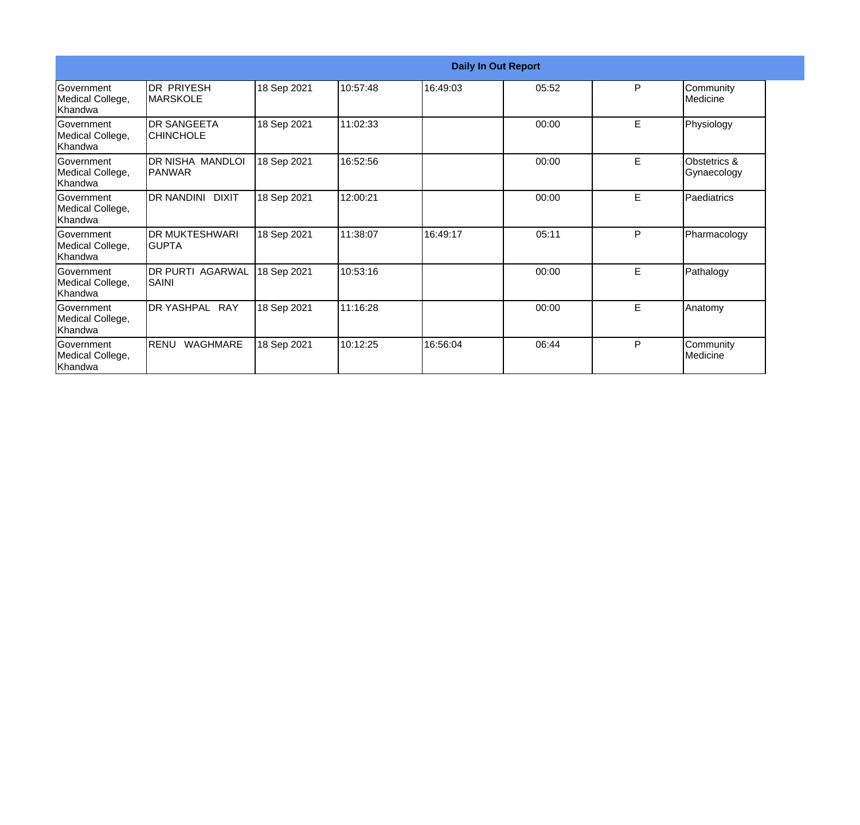| <b>Daily In Out Report</b>                       |                                       |             |          |          |       |   |                             |
|--------------------------------------------------|---------------------------------------|-------------|----------|----------|-------|---|-----------------------------|
| Government<br>Medical College,<br>Khandwa        | <b>DR PRIYESH</b><br><b>IMARSKOLE</b> | 18 Sep 2021 | 10:57:48 | 16:49:03 | 05:52 | P | Community<br>Medicine       |
| <b>Government</b><br>Medical College,<br>Khandwa | <b>DR SANGEETA</b><br>ICHINCHOLE      | 18 Sep 2021 | 11:02:33 |          | 00:00 | E | Physiology                  |
| Government<br>Medical College,<br>Khandwa        | DR NISHA MANDLOI<br><b>PANWAR</b>     | 18 Sep 2021 | 16:52:56 |          | 00:00 | E | Obstetrics &<br>Gynaecology |
| <b>Government</b><br>Medical College,<br>Khandwa | DR NANDINI DIXIT                      | 18 Sep 2021 | 12:00:21 |          | 00:00 | E | Paediatrics                 |
| Government<br>Medical College,<br>Khandwa        | <b>DR MUKTESHWARI</b><br><b>GUPTA</b> | 18 Sep 2021 | 11:38:07 | 16:49:17 | 05:11 | P | Pharmacology                |
| Government<br>Medical College,<br>Khandwa        | <b>DR PURTI AGARWAL</b><br>SAINI      | 18 Sep 2021 | 10:53:16 |          | 00:00 | E | Pathalogy                   |
| <b>Government</b><br>Medical College,<br>Khandwa | DR YASHPAL RAY                        | 18 Sep 2021 | 11:16:28 |          | 00:00 | E | Anatomy                     |
| Government<br>Medical College,<br>Khandwa        | RENU<br>WAGHMARE                      | 18 Sep 2021 | 10:12:25 | 16:56:04 | 06:44 | P | Community<br>Medicine       |